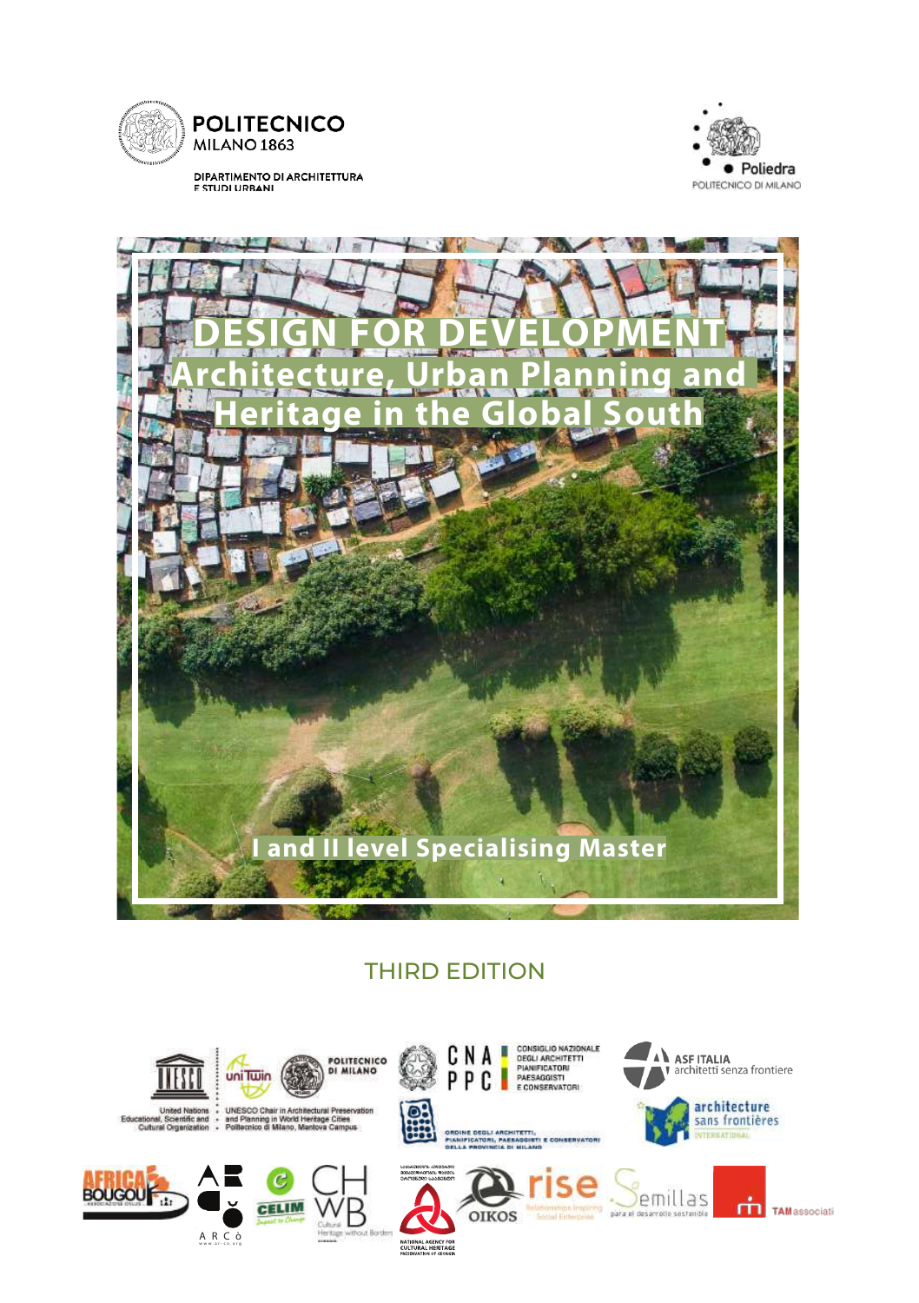

DIPARTIMENTO DI ARCHITETTURA<br>E STUDI URBANI





# THIRD EDITION

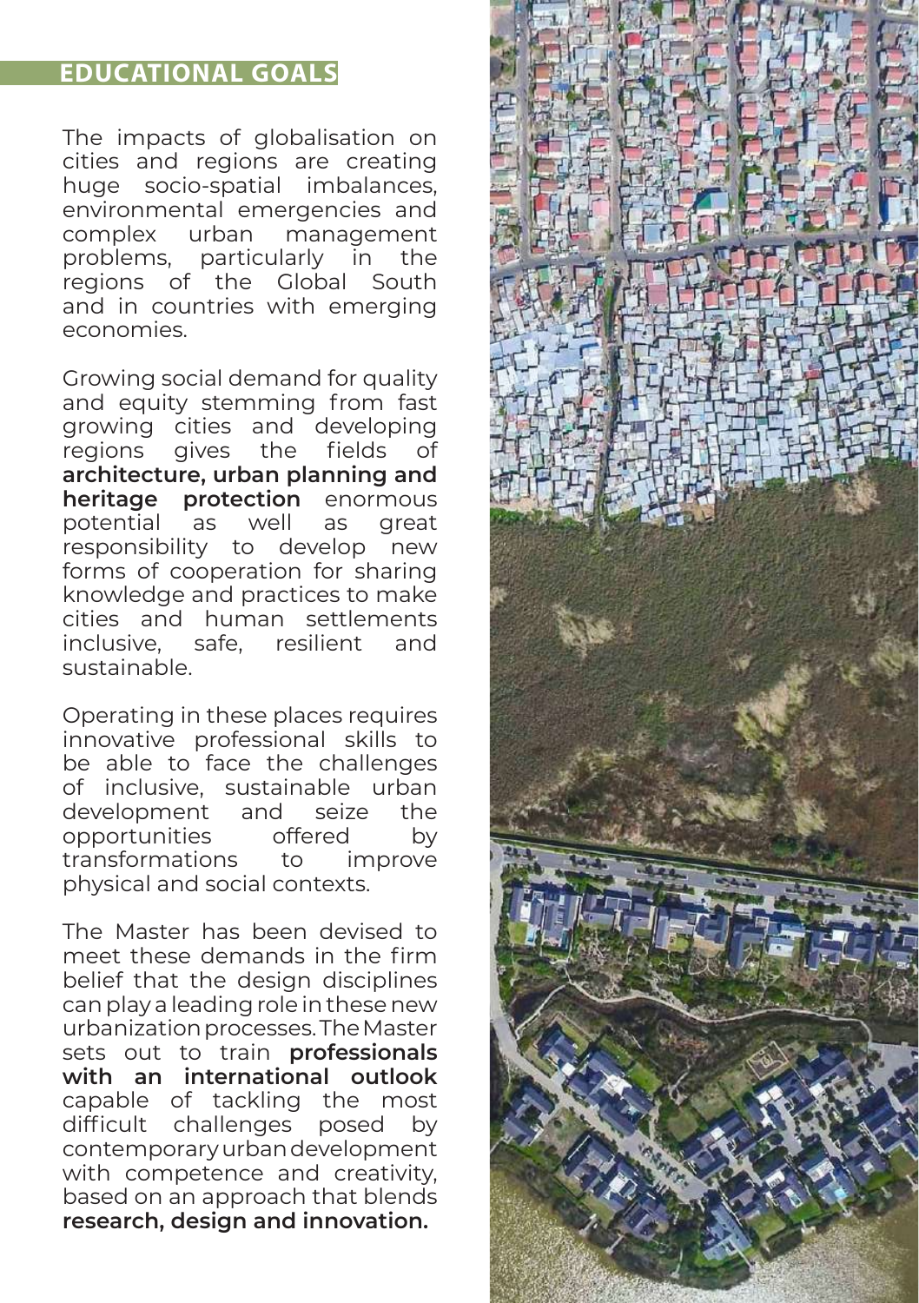# **EDUCATIONAL GOALS**

The impacts of globalisation on cities and regions are creating huge socio-spatial imbalances, environmental emergencies and complex urban problems, particularly in the regions of the Global South and in countries with emerging economies.

Growing social demand for quality and equity stemming from fast growing cities and developing regions gives the fields of **architecture, urban planning and heritage protection** enormous potential as well as great responsibility to develop new forms of cooperation for sharing knowledge and practices to make cities and human settlements inclusive, safe, resilient and sustainable.

Operating in these places requires innovative professional skills to be able to face the challenges of inclusive, sustainable urban development and seize the opportunities offered by transformations to improve physical and social contexts.

The Master has been devised to meet these demands in the firm belief that the design disciplines can play a leading role in these new urbanization processes. The Master sets out to train **professionals with an international outlook** capable of tackling the most difficult challenges posed by contemporary urban development with competence and creativity, based on an approach that blends **research, design and innovation.**

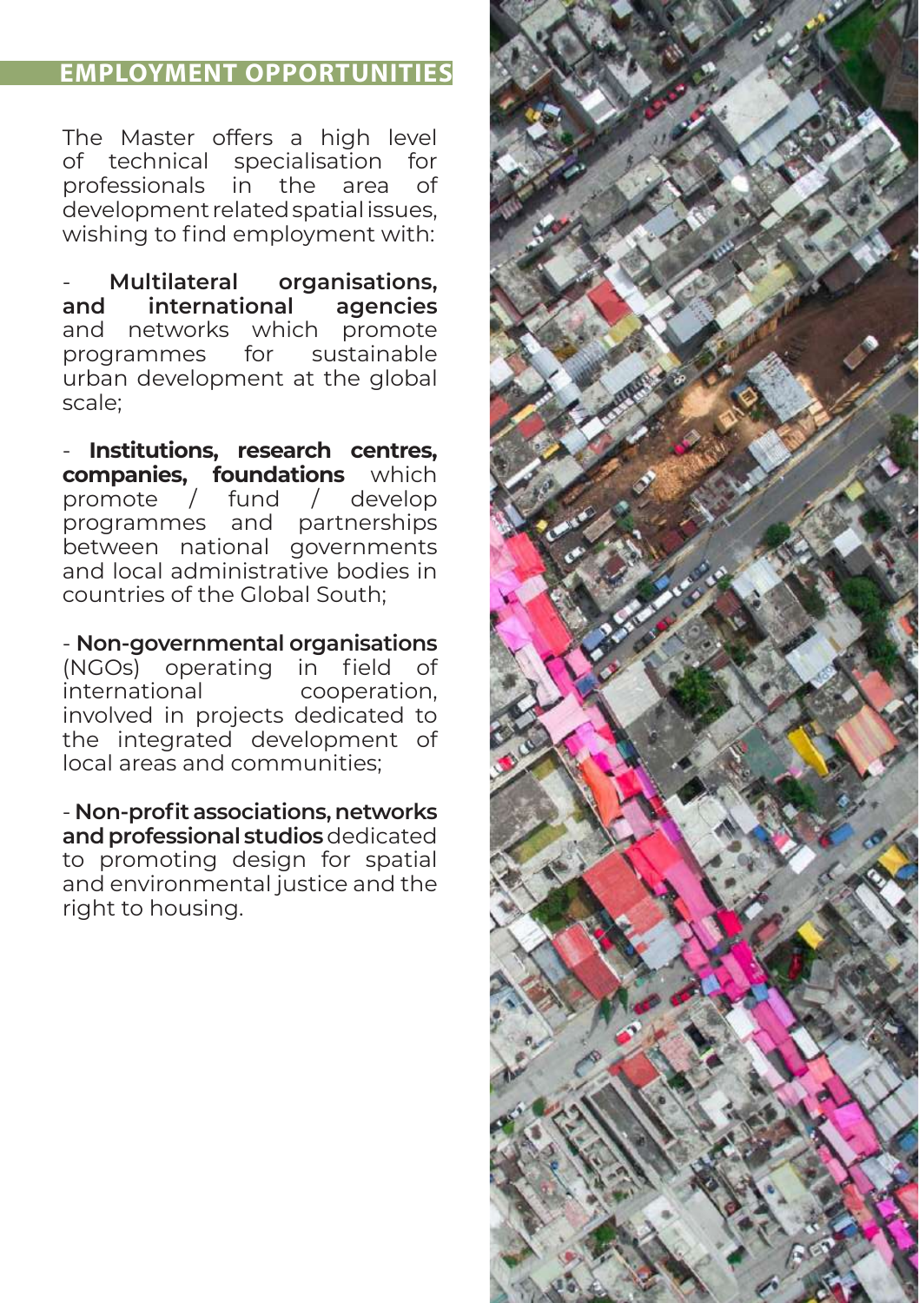# **EMPLOYMENT OPPORTUNITIES**

The Master offers a high level of technical specialisation for professionals in the area of development related spatial issues, wishing to find employment with:

- **Multilateral organisations, and international agencies**  and networks which programmes for sustainable urban development at the global scale;

- **Institutions, research centres, companies, foundations** which promote / fund / develop programmes and partnerships between national governments and local administrative bodies in countries of the Global South;

- **Non-governmental organisations** (NGOs) operating in field of<br>international cooperation. cooperation. involved in projects dedicated to the integrated development of local areas and communities;

- **Non-profit associations, networks and professional studios** dedicated to promoting design for spatial and environmental justice and the right to housing.

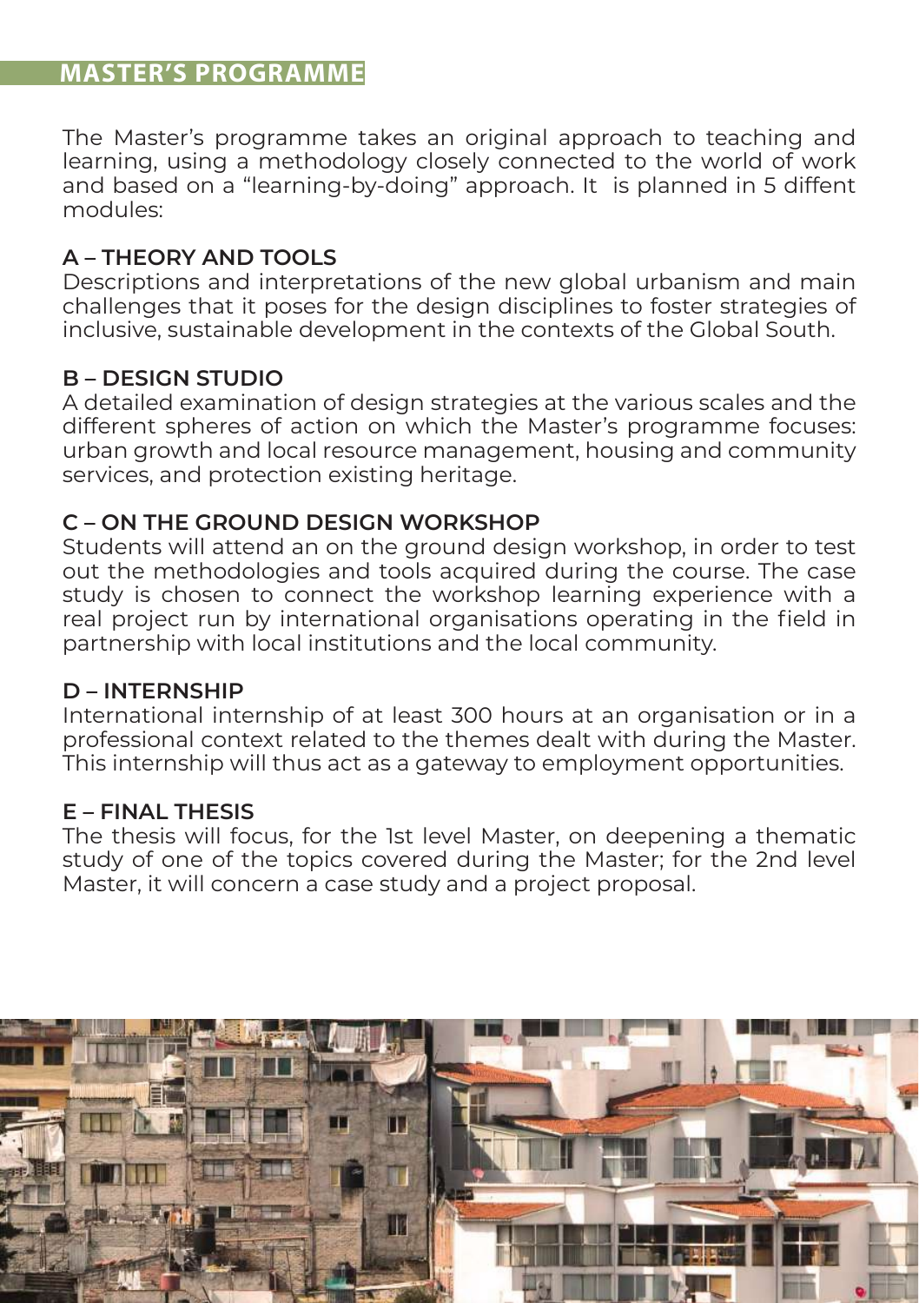# **MASTER'S PROGRAMME**

The Master's programme takes an original approach to teaching and learning, using a methodology closely connected to the world of work and based on a "learning-by-doing" approach. It is planned in 5 diffent modules:

# **A – THEORY AND TOOLS**

Descriptions and interpretations of the new global urbanism and main challenges that it poses for the design disciplines to foster strategies of inclusive, sustainable development in the contexts of the Global South.

# **B – DESIGN STUDIO**

A detailed examination of design strategies at the various scales and the different spheres of action on which the Master's programme focuses: urban growth and local resource management, housing and community services, and protection existing heritage.

# **C – ON THE GROUND DESIGN WORKSHOP**

Students will attend an on the ground design workshop, in order to test out the methodologies and tools acquired during the course. The case study is chosen to connect the workshop learning experience with a real project run by international organisations operating in the field in partnership with local institutions and the local community.

## **D – INTERNSHIP**

International internship of at least 300 hours at an organisation or in a professional context related to the themes dealt with during the Master. This internship will thus act as a gateway to employment opportunities.

## **E – FINAL THESIS**

The thesis will focus, for the 1st level Master, on deepening a thematic study of one of the topics covered during the Master; for the 2nd level Master, it will concern a case study and a project proposal.

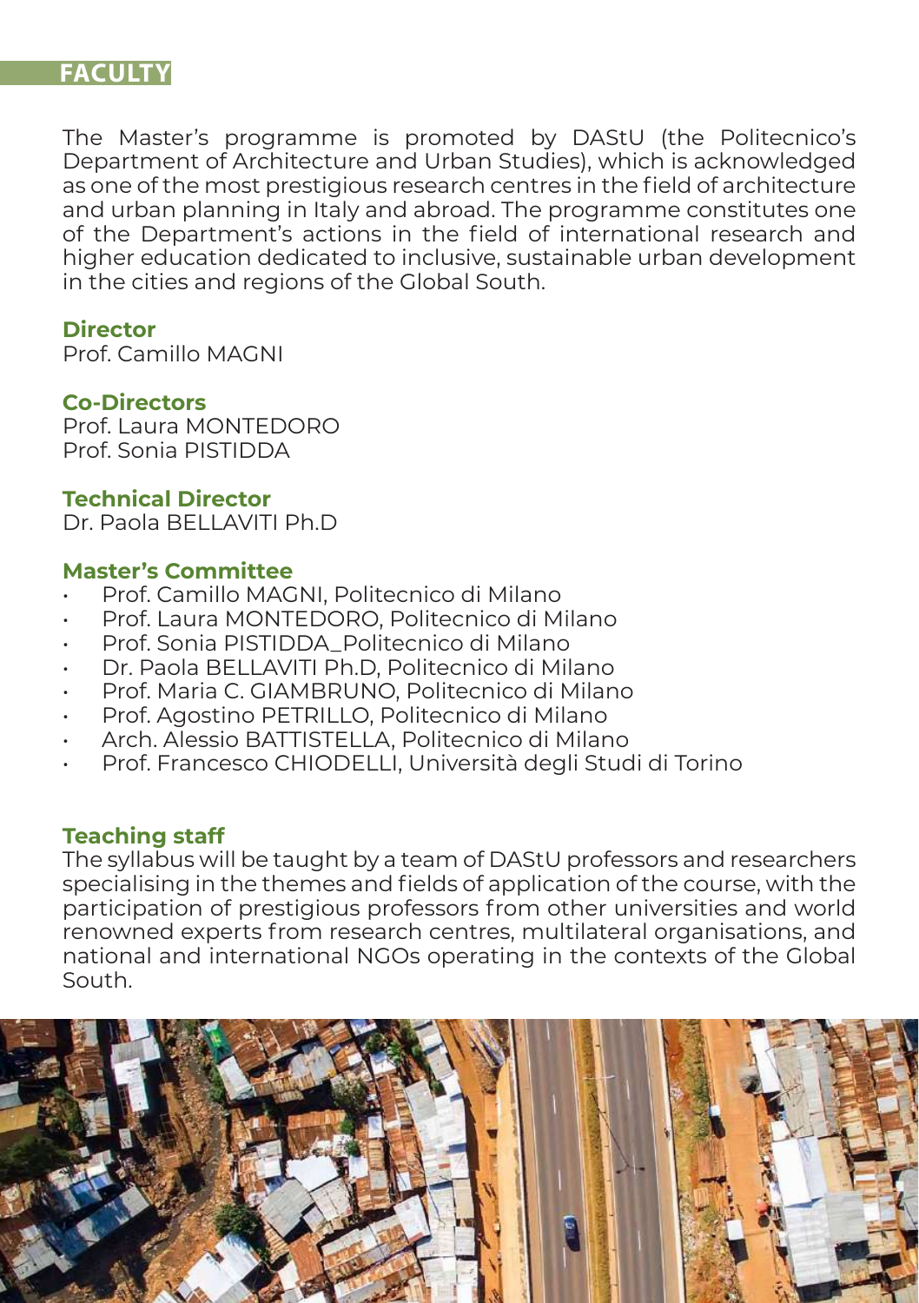# **FACULTY**

The Master's programme is promoted by DAStU (the Politecnico's Department of Architecture and Urban Studies), which is acknowledged as one of the most prestigious research centres in the field of architecture and urban planning in Italy and abroad. The programme constitutes one of the Department's actions in the field of international research and higher education dedicated to inclusive, sustainable urban development in the cities and regions of the Global South.

#### **Director**

Prof. Camillo MAGNI

#### **Co-Directors**

Prof. Laura MONTEDORO Prof. Sonia PISTIDDA

#### **Technical Director**

Dr. Paola BELLAVITI Ph.D

## **Master's Committee**

- Prof. Camillo MAGNI, Politecnico di Milano
- Prof. Laura MONTEDORO, Politecnico di Milano
- Prof. Sonia PISTIDDA\_Politecnico di Milano
- Dr. Paola BELLAVITI Ph.D, Politecnico di Milano
- Prof. Maria C. GIAMBRUNO, Politecnico di Milano
- Prof. Agostino PETRILLO, Politecnico di Milano
- Arch. Alessio BATTISTELLA, Politecnico di Milano
- Prof. Francesco CHIODELLI, Università degli Studi di Torino

## **Teaching staff**

The syllabus will be taught by a team of DAStU professors and researchers specialising in the themes and fields of application of the course, with the participation of prestigious professors from other universities and world renowned experts from research centres, multilateral organisations, and national and international NGOs operating in the contexts of the Global South.

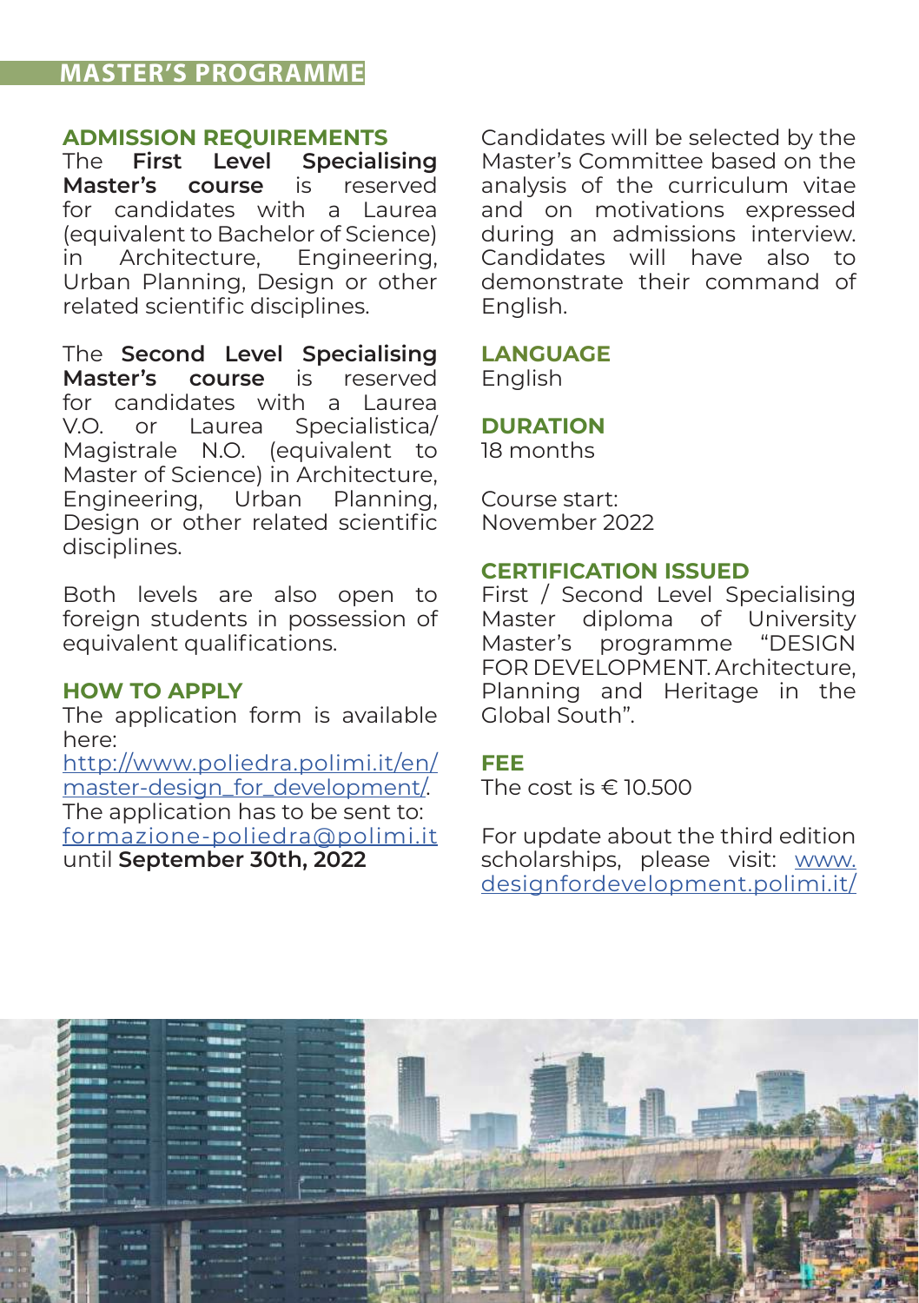# **MASTER'S PROGRAMME**

# **ADMISSION REQUIREMENTS**

The **First Level Specialising Master's** course for candidates with a Laurea (equivalent to Bachelor of Science) in Architecture, Engineering, Urban Planning, Design or other related scientific disciplines.

The **Second Level Specialising Master's course** is for candidates with a Laurea V.O. or Laurea Specialistica/ Magistrale N.O. (equivalent to Master of Science) in Architecture, Engineering, Urban Planning, Design or other related scientific disciplines.

Both levels are also open to foreign students in possession of equivalent qualifications.

# **HOW TO APPLY**

The application form is available here:

[http://www.poliedra.polimi.it/en/](http://www.poliedra.polimi.it/en/master-design_for_development/) [master-design\\_for\\_development/.](http://www.poliedra.polimi.it/en/master-design_for_development/) The application has to be sent to: formazione-poliedra@polimi.it until **September 30th, 2022**

Candidates will be selected by the Master's Committee based on the analysis of the curriculum vitae and on motivations expressed during an admissions interview. Candidates will have also to demonstrate their command of English.

# **LANGUAGE**

English

**DURATION**

18 months

Course start: November 2022

#### **CERTIFICATION ISSUED**

First / Second Level Specialising Master diploma of University Master's programme "DESIGN FOR DEVELOPMENT. Architecture, Planning and Heritage in the Global South".

#### **FEE**

The cost is € 10.500

For update about the third edition scholarships, please visit: [www.](http://www.designfordevelopment.polimi.it/info/) [designfordevelopment.polimi.it/](http://www.designfordevelopment.polimi.it/info/)